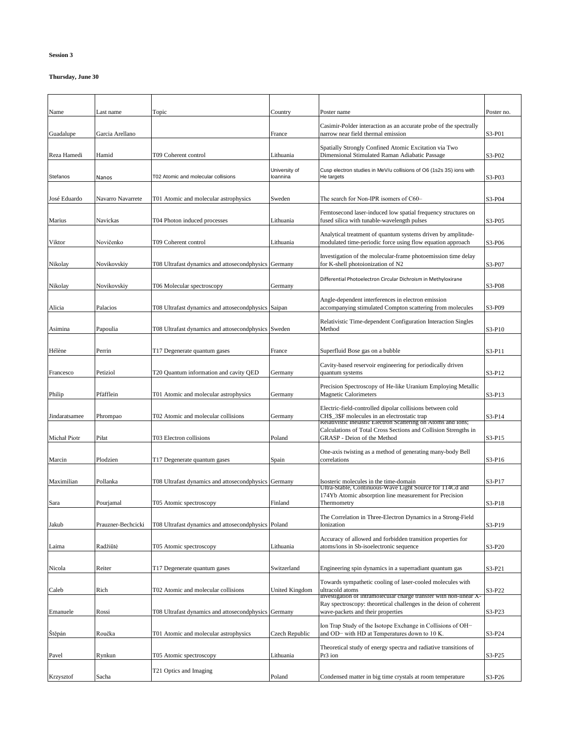## **Session 3**

## **Thursday, June 30**

| Name          | Last name          | Topic                                                | Country                   | Poster name                                                                                                                                                     | Poster no. |
|---------------|--------------------|------------------------------------------------------|---------------------------|-----------------------------------------------------------------------------------------------------------------------------------------------------------------|------------|
| Guadalupe     | Garcia Arellano    |                                                      | France                    | Casimir-Polder interaction as an accurate probe of the spectrally<br>narrow near field thermal emission                                                         | S3-P01     |
| Reza Hamedi   | Hamid              | T09 Coherent control                                 | Lithuania                 | Spatially Strongly Confined Atomic Excitation via Two<br>Dimensional Stimulated Raman Adiabatic Passage                                                         | S3-P02     |
| Stefanos      | Nanos              | T02 Atomic and molecular collisions                  | University of<br>loannina | Cusp electron studies in MeV/u collisions of O6 (1s2s 3S) ions with<br>He targets                                                                               | S3-P03     |
| José Eduardo  | Navarro Navarrete  | T01 Atomic and molecular astrophysics                | Sweden                    | The search for Non-IPR isomers of C60-                                                                                                                          | S3-P04     |
| Marius        | Navickas           | T04 Photon induced processes                         | Lithuania                 | Femtosecond laser-induced low spatial frequency structures on<br>fused silica with tunable-wavelength pulses                                                    | S3-P05     |
| Viktor        | Novičenko          | T09 Coherent control                                 | Lithuania                 | Analytical treatment of quantum systems driven by amplitude-<br>modulated time-periodic force using flow equation approach                                      | S3-P06     |
| Nikolay       | Novikovskiy        | T08 Ultrafast dynamics and attosecondphysics Germany |                           | Investigation of the molecular-frame photoemission time delay<br>for K-shell photoionization of N2                                                              | S3-P07     |
| Nikolay       | Novikovskiy        | T06 Molecular spectroscopy                           | Germany                   | Differential Photoelectron Circular Dichroism in Methyloxirane                                                                                                  | S3-P08     |
| Alicia        | Palacios           | T08 Ultrafast dynamics and attosecondphysics Saipan  |                           | Angle-dependent interferences in electron emission<br>accompanying stimulated Compton scattering from molecules                                                 | S3-P09     |
| Asimina       | Papoulia           | T08 Ultrafast dynamics and attosecondphysics Sweden  |                           | Relativistic Time-dependent Configuration Interaction Singles<br>Method                                                                                         | S3-P10     |
| Hélène        | Perrin             | T17 Degenerate quantum gases                         | France                    | Superfluid Bose gas on a bubble                                                                                                                                 | S3-P11     |
| Francesco     | Petiziol           | T20 Quantum information and cavity QED               | Germany                   | Cavity-based reservoir engineering for periodically driven<br>quantum systems                                                                                   | S3-P12     |
| Philip        | Pfäfflein          | T01 Atomic and molecular astrophysics                | Germany                   | Precision Spectroscopy of He-like Uranium Employing Metallic<br><b>Magnetic Calorimeters</b>                                                                    | S3-P13     |
| Jindaratsamee | Phrompao           | T02 Atomic and molecular collisions                  | Germany                   | Electric-field-controlled dipolar collisions between cold<br>CH\$ 3\$F molecules in an electrostatic trap                                                       | S3-P14     |
| Michał Piotr  | Piłat              | T03 Electron collisions                              | Poland                    | Relativistic Inelastic Electron Scattering on Atoms and Ions;<br>Calculations of Total Cross Sections and Collision Strengths in<br>GRASP - Deion of the Method | S3-P15     |
| Marcin        | Plodzien           | T17 Degenerate quantum gases                         | Spain                     | One-axis twisting as a method of generating many-body Bell<br>correlations                                                                                      | S3-P16     |
| Maximilian    | Pollanka           | T08 Ultrafast dynamics and attosecondphysics Germany |                           | Isosteric molecules in the time-domain                                                                                                                          | S3-P17     |
| Sara          | Pourjamal          | T05 Atomic spectroscopy                              | Finland                   | Ultra-Stable, Continuous-Wave Light Source for 114Cd and<br>174Yb Atomic absorption line measurement for Precision<br>Thermometry                               | S3-P18     |
| Jakub         | Prauzner-Bechcicki | T08 Ultrafast dynamics and attosecondphysics Poland  |                           | The Correlation in Three-Electron Dynamics in a Strong-Field<br>Ionization                                                                                      | S3-P19     |
| Laima         | Radžiūtė           | T05 Atomic spectroscopy                              | Lithuania                 | Accuracy of allowed and forbidden transition properties for<br>atoms/ions in Sb-isoelectronic sequence                                                          | S3-P20     |
| Nicola        | Reiter             | T17 Degenerate quantum gases                         | Switzerland               | Engineering spin dynamics in a superradiant quantum gas                                                                                                         | S3-P21     |
| Caleb         | Rich               | T02 Atomic and molecular collisions                  | <b>United Kingdom</b>     | Towards sympathetic cooling of laser-cooled molecules with<br>ultracold atoms<br>Investigation of intramolecular charge transfer with non-linear X-             | S3-P22     |
| Emanuele      | Rossi              | T08 Ultrafast dynamics and attosecondphysics Germany |                           | Ray spectroscopy: theoretical challenges in the deion of coherent<br>wave-packets and their properties                                                          | S3-P23     |
| Stěpán        | Roučka             | T01 Atomic and molecular astrophysics                | Czech Republic            | Ion Trap Study of the Isotope Exchange in Collisions of OH-<br>and OD- with HD at Temperatures down to 10 K.                                                    | S3-P24     |
| Pavel         | Rynkun             | T05 Atomic spectroscopy                              | Lithuania                 | Theoretical study of energy spectra and radiative transitions of<br>Pr3 ion                                                                                     | S3-P25     |
| Krzysztof     | Sacha              | T21 Optics and Imaging                               | Poland                    | Condensed matter in big time crystals at room temperature                                                                                                       | S3-P26     |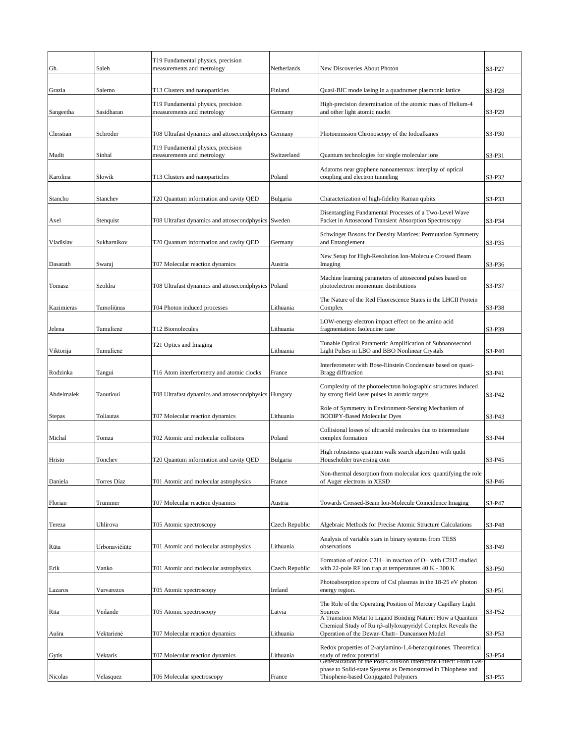|               |               | T19 Fundamental physics, precision                               |                |                                                                                                                                                                 |        |
|---------------|---------------|------------------------------------------------------------------|----------------|-----------------------------------------------------------------------------------------------------------------------------------------------------------------|--------|
| Gh.           | Saleh         | measurements and metrology                                       | Netherlands    | New Discoveries About Photon                                                                                                                                    | S3-P27 |
| Grazia        | Salerno       | T13 Clusters and nanoparticles                                   | Finland        | Quasi-BIC mode lasing in a quadrumer plasmonic lattice                                                                                                          | S3-P28 |
| Sangeetha     | Sasidharan    | T19 Fundamental physics, precision<br>measurements and metrology | Germany        | High-precision determination of the atomic mass of Helium-4<br>and other light atomic nuclei                                                                    | S3-P29 |
| Christian     | Schröder      | T08 Ultrafast dynamics and attosecondphysics Germany             |                | Photoemission Chronoscopy of the Iodoalkanes                                                                                                                    | S3-P30 |
| Mudit         | Sinhal        | T19 Fundamental physics, precision<br>measurements and metrology | Switzerland    | Quantum technologies for single molecular ions                                                                                                                  | S3-P31 |
| Karolina      | Słowik        | T13 Clusters and nanoparticles                                   | Poland         | Adatoms near graphene nanoantennas: interplay of optical<br>coupling and electron tunneling                                                                     | S3-P32 |
| Stancho       | Stanchev      | T20 Quantum information and cavity QED                           | Bulgaria       | Characterization of high-fidelity Raman qubits                                                                                                                  | S3-P33 |
| Axel          | Stenquist     | T08 Ultrafast dynamics and attosecondphysics Sweden              |                | Disentangling Fundamental Processes of a Two-Level Wave<br>Packet in Attosecond Transient Absorption Spectroscopy                                               | S3-P34 |
| Vladislav     | Sukharnikov   | T20 Quantum information and cavity QED                           | Germany        | Schwinger Bosons for Density Matrices: Permutation Symmetry<br>and Entanglement                                                                                 | S3-P35 |
| Dasarath      | Swaraj        | T07 Molecular reaction dynamics                                  | Austria        | New Setup for High-Resolution Ion-Molecule Crossed Beam<br>Imaging                                                                                              | S3-P36 |
| Tomasz        | Szoldra       | T08 Ultrafast dynamics and attosecondphysics                     | Poland         | Machine learning parameters of attosecond pulses based on<br>photoelectron momentum distributions                                                               | S3-P37 |
| Kazimieras    | Tamoliūnas    | T04 Photon induced processes                                     | Lithuania      | The Nature of the Red Fluorescence States in the LHCII Protein<br>Complex                                                                                       | S3-P38 |
| Jelena        | Tamulienė     | T12 Biomolecules                                                 | Lithuania      | LOW-energy electron impact effect on the amino acid<br>fragmentation: Isoleucine case                                                                           | S3-P39 |
| Viktorija     | Tamulienė     | T21 Optics and Imaging                                           | Lithuania      | Tunable Optical Parametric Amplification of Subnanosecond<br>Light Pulses in LBO and BBO Nonlinear Crystals                                                     | S3-P40 |
| Rodzinka      | Tangui        | T16 Atom interferometry and atomic clocks                        | France         | Interferometer with Bose-Einstein Condensate based on quasi-<br><b>Bragg</b> diffraction                                                                        | S3-P41 |
| Abdelmalek    | Taoutioui     | T08 Ultrafast dynamics and attosecondphysics                     | Hungary        | Complexity of the photoelectron holographic structures induced<br>by strong field laser pulses in atomic targets                                                | S3-P42 |
| <b>Stepas</b> | Toliautas     | T07 Molecular reaction dynamics                                  | Lithuania      | Role of Symmetry in Environment-Sensing Mechanism of<br><b>BODIPY-Based Molecular Dyes</b>                                                                      | S3-P43 |
| Michal        | Tomza         | T02 Atomic and molecular collisions                              | Poland         | Collisional losses of ultracold molecules due to intermediate<br>complex formation                                                                              | S3-P44 |
| Hristo        | Tonchev       | T20 Quantum information and cavity QED                           | Bulgaria       | High robustness quantum walk search algorithm with qudit<br>Householder traversing coin                                                                         | S3-P45 |
| Daniela       | Torres Díaz   | T01 Atomic and molecular astrophysics                            | France         | Non-thermal desorption from molecular ices: quantifying the role<br>of Auger electrons in XESD                                                                  | S3-P46 |
| Florian       | Trummer       | T07 Molecular reaction dynamics                                  | Austria        | Towards Crossed-Beam Ion-Molecule Coincidence Imaging                                                                                                           | S3-P47 |
| Tereza        | Uhlirova      | T05 Atomic spectroscopy                                          | Czech Republic | Algebraic Methods for Precise Atomic Structure Calculations                                                                                                     | S3-P48 |
| Rūta          | Urbonavičiūtė | T01 Atomic and molecular astrophysics                            | Lithuania      | Analysis of variable stars in binary systems from TESS<br>observations                                                                                          | S3-P49 |
| Erik          | Vanko         | T01 Atomic and molecular astrophysics                            | Czech Republic | Formation of anion C2H- in reaction of O- with C2H2 studied<br>with 22-pole RF ion trap at temperatures 40 K - 300 K                                            | S3-P50 |
| Lazaros       | Varvarezos    | T05 Atomic spectroscopy                                          | Ireland        | Photoabsorption spectra of CsI plasmas in the 18-25 eV photon<br>energy region.                                                                                 | S3-P51 |
| Rita          | Veilande      | T05 Atomic spectroscopy                                          | Latvia         | The Role of the Operating Position of Mercury Capillary Light<br>Sources<br>A Transition Metal to Ligand Bonding Nature: How a Quantum                          | S3-P52 |
| Aušra         | Vektarienė    | T07 Molecular reaction dynamics                                  | Lithuania      | Chemical Study of Ru n3-allyloxapyridyl Complex Reveals the<br>Operation of the Dewar-Chatt- Duncanson Model                                                    | S3-P53 |
| Gytis         | Vektaris      | T07 Molecular reaction dynamics                                  | Lithuania      | Redox properties of 2-arylamino-1,4-benzoquinones. Theoretical<br>study of redox potential<br>Generalization of the Post-Collision Interaction Effect: From Gas | S3-P54 |
| Nicolas       | Velasquez     | T06 Molecular spectroscopy                                       | France         | phase to Solid-state Systems as Demonstrated in Thiophene and<br>Thiophene-based Conjugated Polymers                                                            | S3-P55 |
|               |               |                                                                  |                |                                                                                                                                                                 |        |